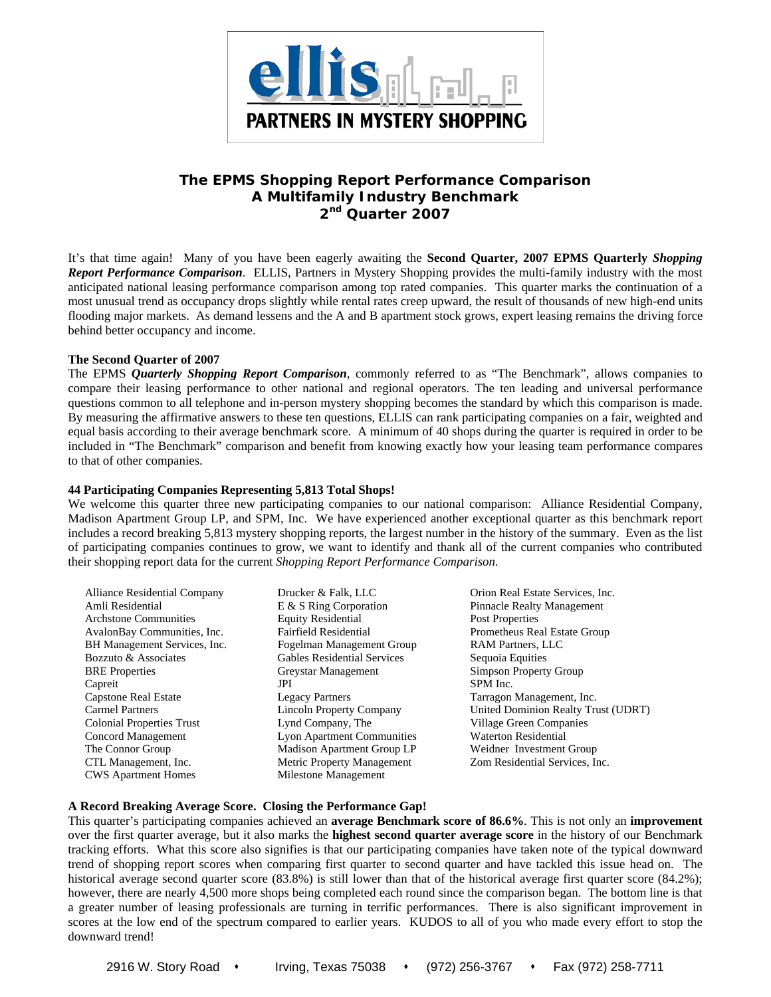

# **The EPMS** *Shopping Report Performance Comparison*  **A Multifamily Industry Benchmark 2nd Quarter 2007**

It's that time again! Many of you have been eagerly awaiting the **Second Quarter, 2007 EPMS Quarterly** *Shopping Report Performance Comparison*. ELLIS, Partners in Mystery Shopping provides the multi-family industry with the most anticipated national leasing performance comparison among top rated companies. This quarter marks the continuation of a most unusual trend as occupancy drops slightly while rental rates creep upward, the result of thousands of new high-end units flooding major markets. As demand lessens and the A and B apartment stock grows, expert leasing remains the driving force behind better occupancy and income.

## **The Second Quarter of 2007**

The EPMS *Quarterly Shopping Report Comparison*, commonly referred to as "The Benchmark", allows companies to compare their leasing performance to other national and regional operators. The ten leading and universal performance questions common to all telephone and in-person mystery shopping becomes the standard by which this comparison is made. By measuring the affirmative answers to these ten questions, ELLIS can rank participating companies on a fair, weighted and equal basis according to their average benchmark score. A minimum of 40 shops during the quarter is required in order to be included in "The Benchmark" comparison and benefit from knowing exactly how your leasing team performance compares to that of other companies.

## **44 Participating Companies Representing 5,813 Total Shops!**

We welcome this quarter three new participating companies to our national comparison: Alliance Residential Company, Madison Apartment Group LP, and SPM, Inc. We have experienced another exceptional quarter as this benchmark report includes a record breaking 5,813 mystery shopping reports, the largest number in the history of the summary. Even as the list of participating companies continues to grow, we want to identify and thank all of the current companies who contributed their shopping report data for the current *Shopping Report Performance Comparison*.

| <b>Alliance Residential Company</b> | Drucker & Falk, LLC                | Orion Real Estate Services, Inc.    |
|-------------------------------------|------------------------------------|-------------------------------------|
| Amli Residential                    | E & S Ring Corporation             | <b>Pinnacle Realty Management</b>   |
| <b>Architone Communities</b>        | <b>Equity Residential</b>          | <b>Post Properties</b>              |
| AvalonBay Communities, Inc.         | <b>Fairfield Residential</b>       | Prometheus Real Estate Group        |
| BH Management Services, Inc.        | Fogelman Management Group          | <b>RAM Partners, LLC</b>            |
| Bozzuto & Associates                | <b>Gables Residential Services</b> | Sequoia Equities                    |
| <b>BRE</b> Properties               | Greystar Management                | Simpson Property Group              |
| Capreit                             | JPI                                | SPM Inc.                            |
| <b>Capstone Real Estate</b>         | <b>Legacy Partners</b>             | Tarragon Management, Inc.           |
| <b>Carmel Partners</b>              | Lincoln Property Company           | United Dominion Realty Trust (UDRT) |
| <b>Colonial Properties Trust</b>    | Lynd Company, The                  | Village Green Companies             |
| Concord Management                  | Lyon Apartment Communities         | <b>Waterton Residential</b>         |
| The Connor Group                    | Madison Apartment Group LP         | Weidner Investment Group            |
| CTL Management, Inc.                | Metric Property Management         | Zom Residential Services, Inc.      |
| <b>CWS</b> Apartment Homes          | Milestone Management               |                                     |

## **A Record Breaking Average Score. Closing the Performance Gap!**

This quarter's participating companies achieved an **average Benchmark score of 86.6%**. This is not only an **improvement**  over the first quarter average, but it also marks the **highest second quarter average score** in the history of our Benchmark tracking efforts. What this score also signifies is that our participating companies have taken note of the typical downward trend of shopping report scores when comparing first quarter to second quarter and have tackled this issue head on. The historical average second quarter score (83.8%) is still lower than that of the historical average first quarter score (84.2%); however, there are nearly 4,500 more shops being completed each round since the comparison began. The bottom line is that a greater number of leasing professionals are turning in terrific performances. There is also significant improvement in scores at the low end of the spectrum compared to earlier years. KUDOS to all of you who made every effort to stop the downward trend!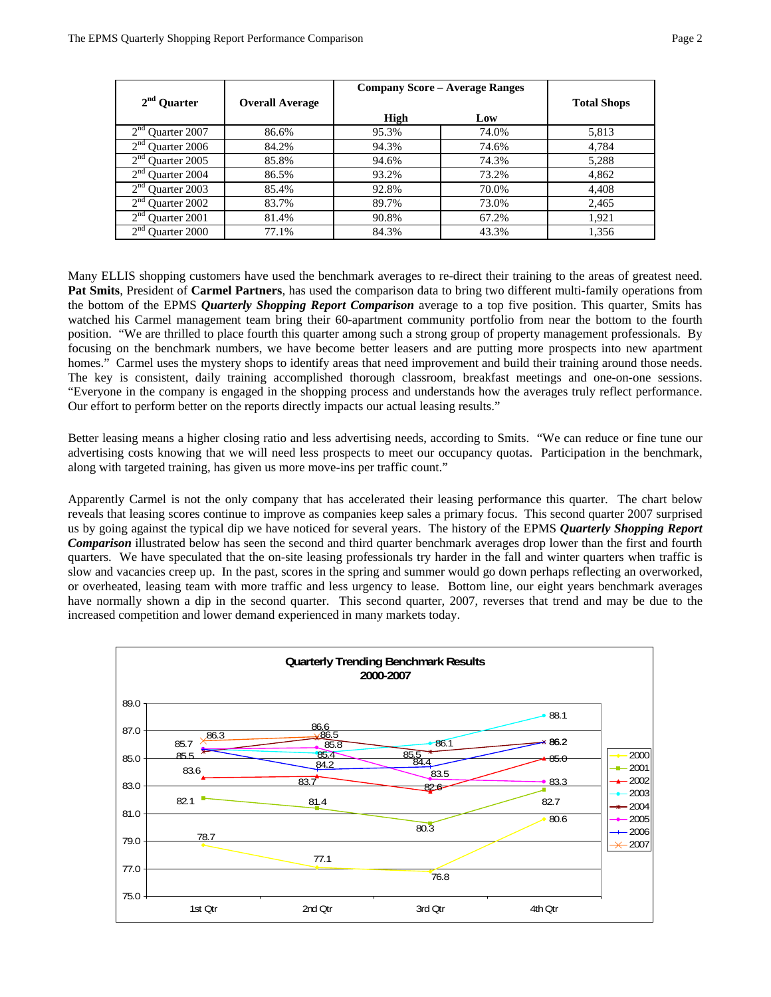|                                        |                        | <b>Company Score – Average Ranges</b> |                    |       |  |
|----------------------------------------|------------------------|---------------------------------------|--------------------|-------|--|
| $2nd$ Quarter                          | <b>Overall Average</b> |                                       | <b>Total Shops</b> |       |  |
|                                        |                        | High                                  | Low                |       |  |
| 2 <sup>nd</sup><br>Quarter 2007        | 86.6%                  | 95.3%                                 | 74.0%              | 5,813 |  |
| 2 <sup>nd</sup><br><b>Ouarter 2006</b> | 84.2%                  | 94.3%                                 | 74.6%              | 4,784 |  |
| 2 <sup>nd</sup><br><b>Ouarter 2005</b> | 85.8%                  | 94.6%                                 | 74.3%              | 5,288 |  |
| 2 <sup>nd</sup><br>Ouarter 2004        | 86.5%                  | 93.2%                                 | 73.2%              | 4,862 |  |
| 2 <sup>nd</sup><br>Ouarter 2003        | 85.4%                  | 92.8%                                 | 70.0%              | 4,408 |  |
| $\gamma$ nd<br>Quarter 2002            | 83.7%                  | 89.7%                                 | 73.0%              | 2,465 |  |
| 2 <sub>nd</sub><br>Ouarter 2001        | 81.4%                  | 90.8%                                 | 67.2%              | 1,921 |  |
| $\gamma$ nd<br>Ouarter 2000            | 77.1%                  | 84.3%                                 | 43.3%              | 1,356 |  |

Many ELLIS shopping customers have used the benchmark averages to re-direct their training to the areas of greatest need. **Pat Smits**, President of **Carmel Partners**, has used the comparison data to bring two different multi-family operations from the bottom of the EPMS *Quarterly Shopping Report Comparison* average to a top five position. This quarter, Smits has watched his Carmel management team bring their 60-apartment community portfolio from near the bottom to the fourth position. "We are thrilled to place fourth this quarter among such a strong group of property management professionals. By focusing on the benchmark numbers, we have become better leasers and are putting more prospects into new apartment homes." Carmel uses the mystery shops to identify areas that need improvement and build their training around those needs. The key is consistent, daily training accomplished thorough classroom, breakfast meetings and one-on-one sessions. "Everyone in the company is engaged in the shopping process and understands how the averages truly reflect performance. Our effort to perform better on the reports directly impacts our actual leasing results."

Better leasing means a higher closing ratio and less advertising needs, according to Smits. "We can reduce or fine tune our advertising costs knowing that we will need less prospects to meet our occupancy quotas. Participation in the benchmark, along with targeted training, has given us more move-ins per traffic count."

Apparently Carmel is not the only company that has accelerated their leasing performance this quarter. The chart below reveals that leasing scores continue to improve as companies keep sales a primary focus. This second quarter 2007 surprised us by going against the typical dip we have noticed for several years. The history of the EPMS *Quarterly Shopping Report Comparison* illustrated below has seen the second and third quarter benchmark averages drop lower than the first and fourth quarters. We have speculated that the on-site leasing professionals try harder in the fall and winter quarters when traffic is slow and vacancies creep up. In the past, scores in the spring and summer would go down perhaps reflecting an overworked, or overheated, leasing team with more traffic and less urgency to lease. Bottom line, our eight years benchmark averages have normally shown a dip in the second quarter. This second quarter, 2007, reverses that trend and may be due to the increased competition and lower demand experienced in many markets today.

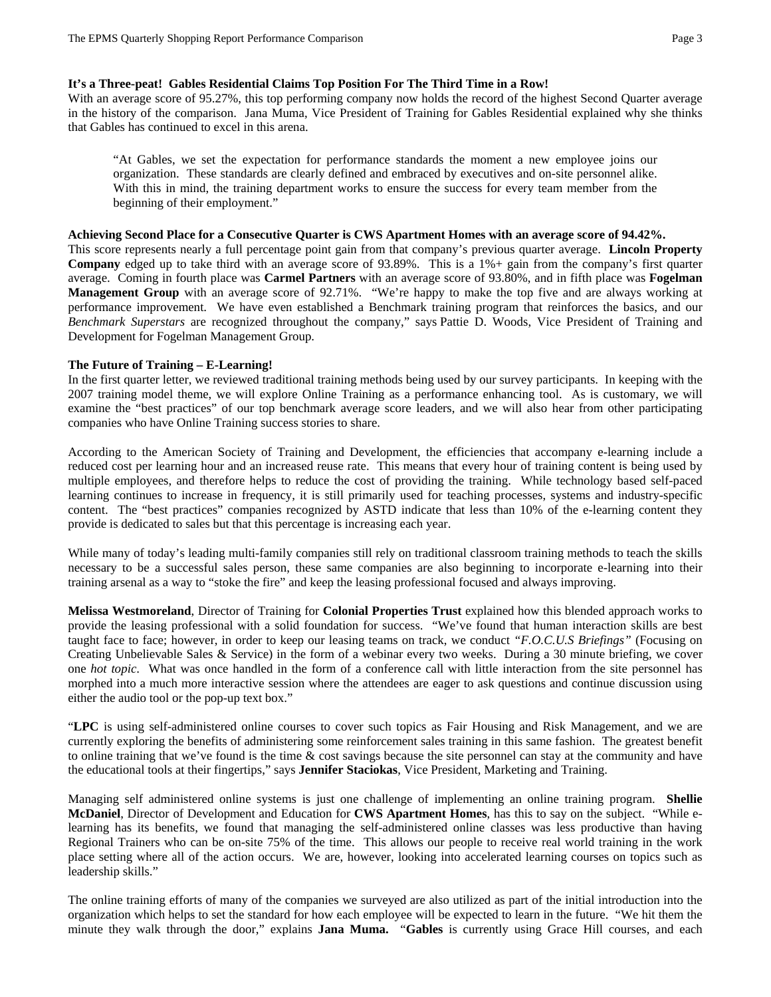## **It's a Three-peat! Gables Residential Claims Top Position For The Third Time in a Row!**

With an average score of 95.27%, this top performing company now holds the record of the highest Second Quarter average in the history of the comparison.Jana Muma, Vice President of Training for Gables Residential explained why she thinks that Gables has continued to excel in this arena.

"At Gables, we set the expectation for performance standards the moment a new employee joins our organization. These standards are clearly defined and embraced by executives and on-site personnel alike. With this in mind, the training department works to ensure the success for every team member from the beginning of their employment."

#### **Achieving Second Place for a Consecutive Quarter is CWS Apartment Homes with an average score of 94.42%.**

This score represents nearly a full percentage point gain from that company's previous quarter average. **Lincoln Property Company** edged up to take third with an average score of 93.89%. This is a 1%+ gain from the company's first quarter average. Coming in fourth place was **Carmel Partners** with an average score of 93.80%, and in fifth place was **Fogelman Management Group** with an average score of 92.71%. "We're happy to make the top five and are always working at performance improvement. We have even established a Benchmark training program that reinforces the basics, and our *Benchmark Superstars* are recognized throughout the company," says Pattie D. Woods, Vice President of Training and Development for Fogelman Management Group.

## **The Future of Training – E-Learning!**

In the first quarter letter, we reviewed traditional training methods being used by our survey participants. In keeping with the 2007 training model theme, we will explore Online Training as a performance enhancing tool. As is customary, we will examine the "best practices" of our top benchmark average score leaders, and we will also hear from other participating companies who have Online Training success stories to share.

According to the American Society of Training and Development, the efficiencies that accompany e-learning include a reduced cost per learning hour and an increased reuse rate. This means that every hour of training content is being used by multiple employees, and therefore helps to reduce the cost of providing the training. While technology based self-paced learning continues to increase in frequency, it is still primarily used for teaching processes, systems and industry-specific content. The "best practices" companies recognized by ASTD indicate that less than 10% of the e-learning content they provide is dedicated to sales but that this percentage is increasing each year.

While many of today's leading multi-family companies still rely on traditional classroom training methods to teach the skills necessary to be a successful sales person, these same companies are also beginning to incorporate e-learning into their training arsenal as a way to "stoke the fire" and keep the leasing professional focused and always improving.

**Melissa Westmoreland**, Director of Training for **Colonial Properties Trust** explained how this blended approach works to provide the leasing professional with a solid foundation for success. "We've found that human interaction skills are best taught face to face; however, in order to keep our leasing teams on track, we conduct *"F.O.C.U.S Briefings"* (Focusing on Creating Unbelievable Sales & Service) in the form of a webinar every two weeks. During a 30 minute briefing, we cover one *hot topic*. What was once handled in the form of a conference call with little interaction from the site personnel has morphed into a much more interactive session where the attendees are eager to ask questions and continue discussion using either the audio tool or the pop-up text box."

"**LPC** is using self-administered online courses to cover such topics as Fair Housing and Risk Management, and we are currently exploring the benefits of administering some reinforcement sales training in this same fashion. The greatest benefit to online training that we've found is the time  $\&$  cost savings because the site personnel can stay at the community and have the educational tools at their fingertips," says **Jennifer Staciokas**, Vice President, Marketing and Training.

Managing self administered online systems is just one challenge of implementing an online training program. **Shellie McDaniel**, Director of Development and Education for **CWS Apartment Homes**, has this to say on the subject. "While elearning has its benefits, we found that managing the self-administered online classes was less productive than having Regional Trainers who can be on-site 75% of the time. This allows our people to receive real world training in the work place setting where all of the action occurs. We are, however, looking into accelerated learning courses on topics such as leadership skills."

The online training efforts of many of the companies we surveyed are also utilized as part of the initial introduction into the organization which helps to set the standard for how each employee will be expected to learn in the future. "We hit them the minute they walk through the door," explains **Jana Muma.** "**Gables** is currently using Grace Hill courses, and each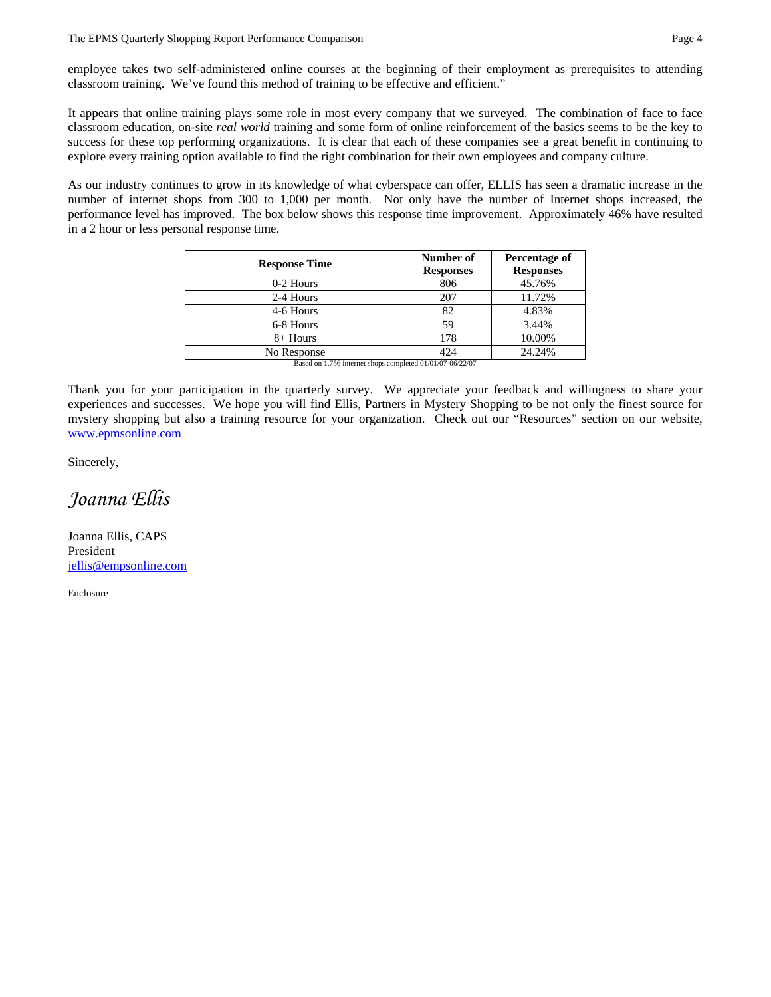#### The EPMS Quarterly Shopping Report Performance Comparison **Page 4** and Page 4

employee takes two self-administered online courses at the beginning of their employment as prerequisites to attending classroom training. We've found this method of training to be effective and efficient."

It appears that online training plays some role in most every company that we surveyed. The combination of face to face classroom education, on-site *real world* training and some form of online reinforcement of the basics seems to be the key to success for these top performing organizations. It is clear that each of these companies see a great benefit in continuing to explore every training option available to find the right combination for their own employees and company culture.

As our industry continues to grow in its knowledge of what cyberspace can offer, ELLIS has seen a dramatic increase in the number of internet shops from 300 to 1,000 per month. Not only have the number of Internet shops increased, the performance level has improved. The box below shows this response time improvement. Approximately 46% have resulted in a 2 hour or less personal response time.

| <b>Response Time</b> | Number of        | Percentage of    |  |  |
|----------------------|------------------|------------------|--|--|
|                      | <b>Responses</b> | <b>Responses</b> |  |  |
| 0-2 Hours            | 806              | 45.76%           |  |  |
| 2-4 Hours            | 207              | 11.72%           |  |  |
| 4-6 Hours            | 82               | 4.83%            |  |  |
| 6-8 Hours            | 59               | 3.44%            |  |  |
| $8+$ Hours           | 178              | 10.00%           |  |  |
| No Response          | 424              | 24.24%           |  |  |

Based on 1,756 internet shops completed 01/01/07-06/22/07

Thank you for your participation in the quarterly survey. We appreciate your feedback and willingness to share your experiences and successes. We hope you will find Ellis, Partners in Mystery Shopping to be not only the finest source for mystery shopping but also a training resource for your organization. Check out our "Resources" section on our website, www.epmsonline.com

Sincerely,

*Joanna Ellis* 

Joanna Ellis, CAPS President jellis@empsonline.com

Enclosure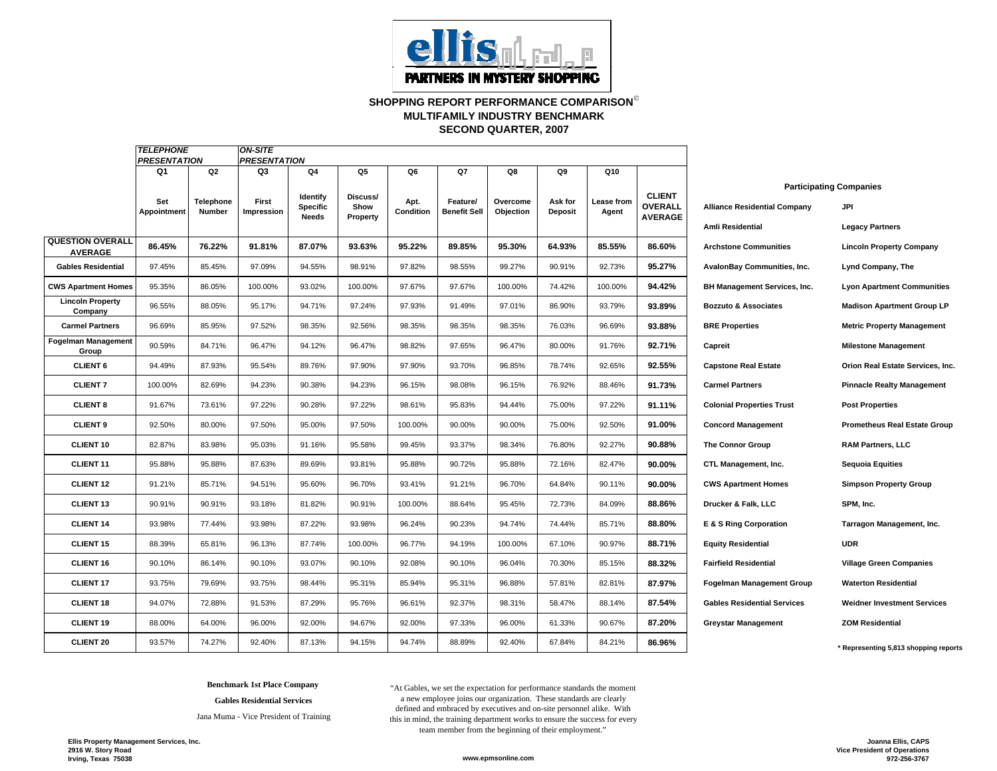

**SHOPPING REPORT PERFORMANCE COMPARISON**© **SECOND QUARTER, 2007 MULTIFAMILY INDUSTRY BENCHMARK**

|                                           | <b>TELEPHONE</b><br><b>PRESENTATION</b> |                     | <b>ON-SITE</b><br><b>PRESENTATION</b> |                                             |                              |                   |                                 |                       |                           |                     |                                                   |                                                         |                                                                 |  |
|-------------------------------------------|-----------------------------------------|---------------------|---------------------------------------|---------------------------------------------|------------------------------|-------------------|---------------------------------|-----------------------|---------------------------|---------------------|---------------------------------------------------|---------------------------------------------------------|-----------------------------------------------------------------|--|
|                                           | Q1                                      | Q2                  | Q3                                    | Q4                                          | Q5                           | Q6                | Q7                              | Q8                    | Q9                        | Q10                 |                                                   |                                                         |                                                                 |  |
|                                           | Set<br>Appointment                      | Telephone<br>Number | First<br>Impression                   | <b>Identify</b><br><b>Specific</b><br>Needs | Discuss/<br>Show<br>Property | Apt.<br>Condition | Feature/<br><b>Benefit Sell</b> | Overcome<br>Objection | Ask for<br><b>Deposit</b> | Lease from<br>Agent | <b>CLIENT</b><br><b>OVERALL</b><br><b>AVERAGE</b> | <b>Alliance Residential Company</b><br>Amli Residential | <b>Participating Companies</b><br>JPI<br><b>Legacy Partners</b> |  |
| <b>QUESTION OVERALL</b><br><b>AVERAGE</b> | 86.45%                                  | 76.22%              | 91.81%                                | 87.07%                                      | 93.63%                       | 95.22%            | 89.85%                          | 95.30%                | 64.93%                    | 85.55%              | 86.60%                                            | <b>Archstone Communities</b>                            | <b>Lincoln Property Company</b>                                 |  |
| <b>Gables Residential</b>                 | 97.45%                                  | 85.45%              | 97.09%                                | 94.55%                                      | 98.91%                       | 97.82%            | 98.55%                          | 99.27%                | 90.91%                    | 92.73%              | 95.27%                                            | AvalonBay Communities, Inc.                             | Lynd Company, The                                               |  |
| <b>CWS Apartment Homes</b>                | 95.35%                                  | 86.05%              | 100.00%                               | 93.02%                                      | 100.00%                      | 97.67%            | 97.67%                          | 100.00%               | 74.42%                    | 100.00%             | 94.42%                                            | <b>BH Management Services, Inc.</b>                     | <b>Lyon Apartment Communities</b>                               |  |
| <b>Lincoln Property</b><br>Company        | 96.55%                                  | 88.05%              | 95.17%                                | 94.71%                                      | 97.24%                       | 97.93%            | 91.49%                          | 97.01%                | 86.90%                    | 93.79%              | 93.89%                                            | <b>Bozzuto &amp; Associates</b>                         | <b>Madison Apartment Group LP</b>                               |  |
| <b>Carmel Partners</b>                    | 96.69%                                  | 85.95%              | 97.52%                                | 98.35%                                      | 92.56%                       | 98.35%            | 98.35%                          | 98.35%                | 76.03%                    | 96.69%              | 93.88%                                            | <b>BRE Properties</b>                                   | <b>Metric Property Management</b>                               |  |
| <b>Fogelman Management</b><br>Group       | 90.59%                                  | 84.71%              | 96.47%                                | 94.12%                                      | 96.47%                       | 98.82%            | 97.65%                          | 96.47%                | 80.00%                    | 91.76%              | 92.71%                                            | Capreit                                                 | <b>Milestone Management</b>                                     |  |
| <b>CLIENT 6</b>                           | 94.49%                                  | 87.93%              | 95.54%                                | 89.76%                                      | 97.90%                       | 97.90%            | 93.70%                          | 96.85%                | 78.74%                    | 92.65%              | 92.55%                                            | <b>Capstone Real Estate</b>                             | Orion Real Estate Services, Inc.                                |  |
| <b>CLIENT 7</b>                           | 100.00%                                 | 82.69%              | 94.23%                                | 90.38%                                      | 94.23%                       | 96.15%            | 98.08%                          | 96.15%                | 76.92%                    | 88.46%              | 91.73%                                            | <b>Carmel Partners</b>                                  | <b>Pinnacle Realty Management</b>                               |  |
| <b>CLIENT 8</b>                           | 91.67%                                  | 73.61%              | 97.22%                                | 90.28%                                      | 97.22%                       | 98.61%            | 95.83%                          | 94.44%                | 75.00%                    | 97.22%              | 91.11%                                            | <b>Colonial Properties Trust</b>                        | <b>Post Properties</b>                                          |  |
| <b>CLIENT 9</b>                           | 92.50%                                  | 80.00%              | 97.50%                                | 95.00%                                      | 97.50%                       | 100.00%           | 90.00%                          | 90.00%                | 75.00%                    | 92.50%              | 91.00%                                            | <b>Concord Management</b>                               | <b>Prometheus Real Estate Group</b>                             |  |
| <b>CLIENT 10</b>                          | 82.87%                                  | 83.98%              | 95.03%                                | 91.16%                                      | 95.58%                       | 99.45%            | 93.37%                          | 98.34%                | 76.80%                    | 92.27%              | 90.88%                                            | <b>The Connor Group</b>                                 | <b>RAM Partners, LLC</b>                                        |  |
| <b>CLIENT 11</b>                          | 95.88%                                  | 95.88%              | 87.63%                                | 89.69%                                      | 93.81%                       | 95.88%            | 90.72%                          | 95.88%                | 72.16%                    | 82.47%              | 90.00%                                            | CTL Management, Inc.                                    | Sequoia Equities                                                |  |
| <b>CLIENT 12</b>                          | 91.21%                                  | 85.71%              | 94.51%                                | 95.60%                                      | 96.70%                       | 93.41%            | 91.21%                          | 96.70%                | 64.84%                    | 90.11%              | 90.00%                                            | <b>CWS Apartment Homes</b>                              | <b>Simpson Property Group</b>                                   |  |
| <b>CLIENT 13</b>                          | 90.91%                                  | 90.91%              | 93.18%                                | 81.82%                                      | 90.91%                       | 100.00%           | 88.64%                          | 95.45%                | 72.73%                    | 84.09%              | 88.86%                                            | Drucker & Falk, LLC                                     | SPM, Inc.                                                       |  |
| <b>CLIENT 14</b>                          | 93.98%                                  | 77.44%              | 93.98%                                | 87.22%                                      | 93.98%                       | 96.24%            | 90.23%                          | 94.74%                | 74.44%                    | 85.71%              | 88.80%                                            | E & S Ring Corporation                                  | Tarragon Management, Inc.                                       |  |
| <b>CLIENT 15</b>                          | 88.39%                                  | 65.81%              | 96.13%                                | 87.74%                                      | 100.00%                      | 96.77%            | 94.19%                          | 100.00%               | 67.10%                    | 90.97%              | 88.71%                                            | <b>Equity Residential</b>                               | <b>UDR</b>                                                      |  |
| CLIENT <sub>16</sub>                      | 90.10%                                  | 86.14%              | 90.10%                                | 93.07%                                      | 90.10%                       | 92.08%            | 90.10%                          | 96.04%                | 70.30%                    | 85.15%              | 88.32%                                            | <b>Fairfield Residential</b>                            | <b>Village Green Companies</b>                                  |  |
| <b>CLIENT 17</b>                          | 93.75%                                  | 79.69%              | 93.75%                                | 98.44%                                      | 95.31%                       | 85.94%            | 95.31%                          | 96.88%                | 57.81%                    | 82.81%              | 87.97%                                            | <b>Fogelman Management Group</b>                        | <b>Waterton Residential</b>                                     |  |
| <b>CLIENT 18</b>                          | 94.07%                                  | 72.88%              | 91.53%                                | 87.29%                                      | 95.76%                       | 96.61%            | 92.37%                          | 98.31%                | 58.47%                    | 88.14%              | 87.54%                                            | <b>Gables Residential Services</b>                      | <b>Weidner Investment Services</b>                              |  |
| <b>CLIENT 19</b>                          | 88.00%                                  | 64.00%              | 96.00%                                | 92.00%                                      | 94.67%                       | 92.00%            | 97.33%                          | 96.00%                | 61.33%                    | 90.67%              | 87.20%                                            | <b>Greystar Management</b>                              | <b>ZOM Residential</b>                                          |  |
| <b>CLIENT 20</b>                          | 93.57%                                  | 74.27%              | 92.40%                                | 87.13%                                      | 94.15%                       | 94.74%            | 88.89%                          | 92.40%                | 67.84%                    | 84.21%              | 86.96%                                            |                                                         | * Representing 5,813 shopping reports                           |  |

**Benchmark 1st Place Company**

**Gables Residential Services**

Jana Muma - Vice President of Training

"At Gables, we set the expectation for performance standards the moment a new employee joins our organization. These standards are clearly defined and embraced by executives and on-site personnel alike. With this in mind, the training department works to ensure the success for every team member from the beginning of their employment."

**Ellis Property Management Services, Inc. 2916 W. Story Road Irving, Texas 75038 www.epmsonline.com**

**Joanna Ellis, CAPS Vice President of Operations 972-256-3767**